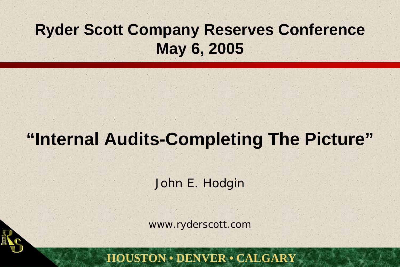## **Ryder Scott Company Reserves Conference May 6, 2005**

# **"Internal Audits-Completing The Picture"**

John E. Hodgin

www.ryderscott.com

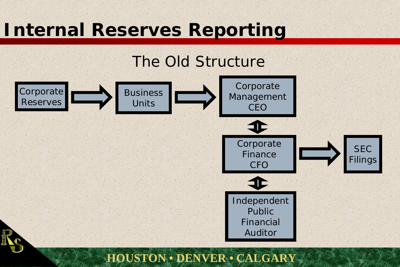# **Internal Reserves Reporting**

# The Old Structure

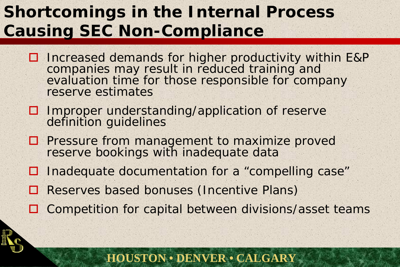## **Shortcomings in the Internal Process Causing SEC Non-Compliance**

- □ Increased demands for higher productivity within E&P companies may result in reduced training and evaluation time for those responsible for company reserve estimates
- $\Box$  Improper understanding/application of reserve definition guidelines
- $\square$  Pressure from management to maximize proved reserve bookings with inadequate data
- $\Box$ Inadequate documentation for a "compelling case"
- $\Box$ Reserves based bonuses (Incentive Plans)
- □ Competition for capital between divisions/asset teams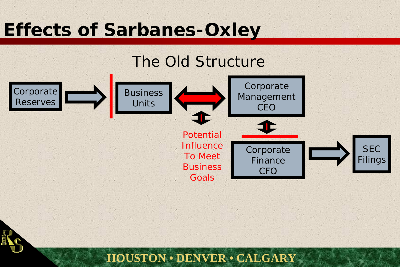# **Effects of Sarbanes-Oxley**

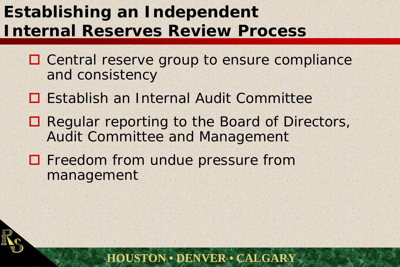## **Establishing an Independent Internal Reserves Review Process**

- □ Central reserve group to ensure compliance and consistency
- □ Establish an Internal Audit Committee
- Regular reporting to the Board of Directors, Audit Committee and Management
- **O** Freedom from undue pressure from management

![](_page_4_Picture_5.jpeg)

![](_page_4_Picture_6.jpeg)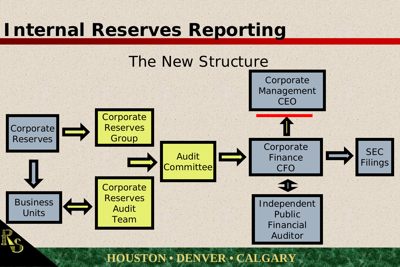# **Internal Reserves Reporting**

![](_page_5_Figure_1.jpeg)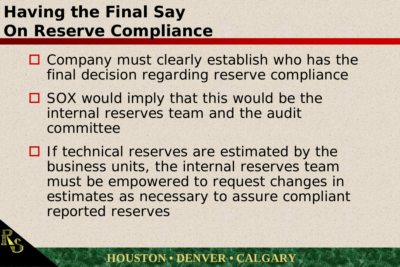## **Having the Final Say On Reserve Compliance**

- □ Company must clearly establish who has the final decision regarding reserve compliance
- □ SOX would imply that this would be the internal reserves team and the audit committee
- $\Box$  If technical reserves are estimated by the business units, the internal reserves team must be empowered to request changes in estimates as necessary to assure compliant reported reserves

![](_page_6_Picture_4.jpeg)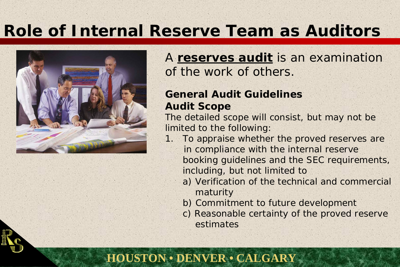## **Role of Internal Reserve Team as Auditors**

![](_page_7_Picture_1.jpeg)

#### A **reserves audit** is an examination of the work of others.

#### **General Audit GuidelinesAudit Scope**

The detailed scope will consist, but may not be limited to the following:

- 1. To appraise whether the proved reserves are in compliance with the internal reserve booking guidelines and the SEC requirements, including, but not limited to
	- a) Verification of the technical and commercial maturity
	- b) Commitment to future development
	- c) Reasonable certainty of the proved reserve estimates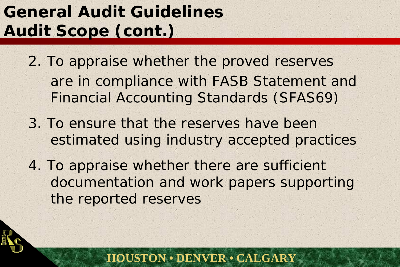# **General Audit GuidelinesAudit Scope (cont.)**

- 2. To appraise whether the proved reserves are in compliance with FASB Statement and Financial Accounting Standards (SFAS69)
- 3. To ensure that the reserves have been estimated using industry accepted practices
- 4. To appraise whether there are sufficient documentation and work papers supporting the reported reserves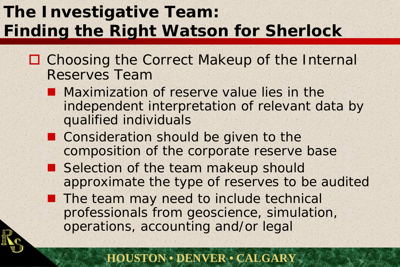## **The Investigative Team: Finding the Right Watson for Sherlock**

- □ Choosing the Correct Makeup of the Internal Reserves Team
	- **Maximization of reserve value lies in the** independent interpretation of relevant data by qualified individuals
	- Consideration should be given to the composition of the corporate reserve base
	- Selection of the team makeup should approximate the type of reserves to be audited
	- **The team may need to include technical** professionals from geoscience, simulation, operations, accounting and/or legal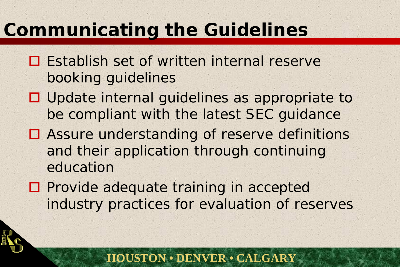# **Communicating the Guidelines**

- **□ Establish set of written internal reserve** booking guidelines
- □ Update internal guidelines as appropriate to be compliant with the latest SEC guidance
- **□ Assure understanding of reserve definitions** and their application through continuing education
- **O** Provide adequate training in accepted industry practices for evaluation of reserves

![](_page_10_Picture_5.jpeg)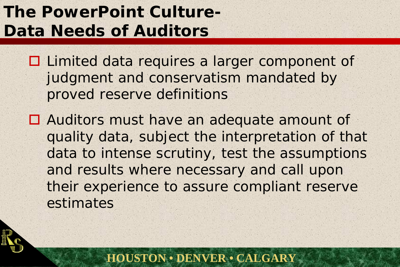## **The PowerPoint Culture-Data Needs of Auditors**

□ Limited data requires a larger component of judgment and conservatism mandated by proved reserve definitions

□ Auditors must have an adequate amount of quality data, subject the interpretation of that data to intense scrutiny, test the assumptions and results where necessary and call upon their experience to assure compliant reserve estimates

![](_page_11_Picture_3.jpeg)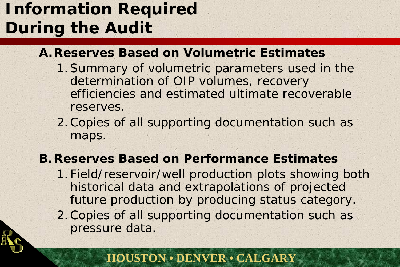## **Information Required During the Audit**

#### **A.Reserves Based on Volumetric Estimates**

- 1.Summary of volumetric parameters used in the determination of OIP volumes, recovery efficiencies and estimated ultimate recoverable reserves.
- 2.Copies of all supporting documentation such as maps.

#### **B.Reserves Based on Performance Estimates**

- 1. Field/reservoir/well production plots showing both historical data and extrapolations of projected future production by producing status category.
- 2.Copies of all supporting documentation such as pressure data.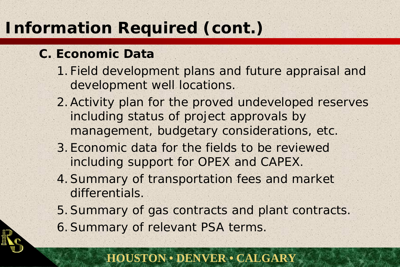## **Information Required (cont.)**

### **C. Economic Data**

- 1. Field development plans and future appraisal and development well locations.
- 2.Activity plan for the proved undeveloped reserves including status of project approvals by management, budgetary considerations, etc.
- 3.Economic data for the fields to be reviewed including support for OPEX and CAPEX.
- 4.Summary of transportation fees and market differentials.
- 5.Summary of gas contracts and plant contracts.
- 6.Summary of relevant PSA terms.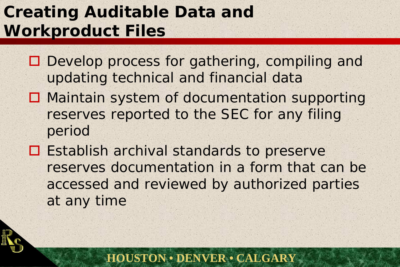## **Creating Auditable Data and Workproduct Files**

- □ Develop process for gathering, compiling and updating technical and financial data
- □ Maintain system of documentation supporting reserves reported to the SEC for any filing period
- **□ Establish archival standards to preserve** reserves documentation in a form that can be accessed and reviewed by authorized parties at any time

![](_page_14_Picture_4.jpeg)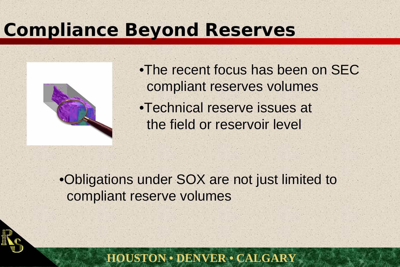## **Compliance Beyond Reserves**

![](_page_15_Picture_1.jpeg)

•The recent focus has been on SEC compliant reserves volumes •Technical reserve issues at the field or reservoir level

•Obligations under SOX are not just limited to compliant reserve volumes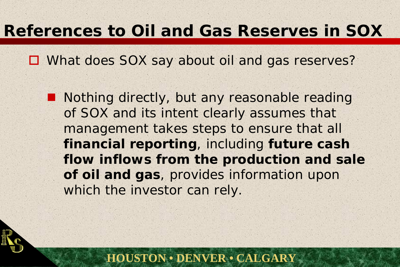## **References to Oil and Gas Reserves in SOX**

□ What does SOX say about oil and gas reserves?

■ Nothing directly, but any reasonable reading of SOX and its intent clearly assumes that management takes steps to ensure that all *financial reporting*, including *future cash flow inflows from the production and sale of oil and gas*, provides information upon which the investor can rely.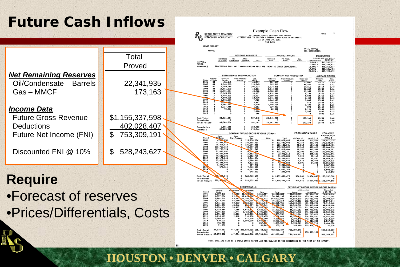## **Future Cash Inflows**

|                               |                   | TABLE<br>RYDER SCOTT COMPANY<br>ESTIMATED FOTOKE RESERVES AND INCOME<br>PETROLEUM CONSULTANTS<br>ATTRIBUTABLE TO CERTAIN LEASEHOLD AND ROYALTY INTERESTS<br><b>AS OF JUNE 30, 2001</b>                                                                                                                                                                                     |
|-------------------------------|-------------------|----------------------------------------------------------------------------------------------------------------------------------------------------------------------------------------------------------------------------------------------------------------------------------------------------------------------------------------------------------------------------|
|                               |                   | <b>GRAND SUMMARY</b><br>TOTAL PROVED                                                                                                                                                                                                                                                                                                                                       |
|                               |                   | PROVED<br>ALL CATEGORIES<br><b>PRODUCT PRICES</b>                                                                                                                                                                                                                                                                                                                          |
|                               | Total             | OΨ<br>CiliCond.<br>Sibbl<br>Pit, Prod<br>S/bbl.<br>INITIAL                                                                                                                                                                                                                                                                                                                 |
|                               | Proved            | <b>FINAL</b><br>$10.00% -$<br>528,243,627<br><b>REMARKS</b><br>PROCESSING FEES AND TRANSPORTATION FEES ARE SHOWN AS OTHER DEDUCTIONS.<br>$12.00% -$<br>496.261.017<br>429,106,454<br>$17.00% -$                                                                                                                                                                            |
| <b>Net Remaining Reserves</b> |                   | 395, 925, 672<br>20.00%<br>ESTIMATED S/8 THS PRODUCTION<br><b>COMPANY NET PRODUCTION</b><br>AVERAG                                                                                                                                                                                                                                                                         |
| Oil/Condensate - Barrels      | 22,341,935        | <b>CiliCond</b><br>Sales Gas<br>MMCF<br>Gas<br>\$7.ACF<br>Period<br>2001<br>$\frac{m}{4}$<br>$\frac{$86h}{25.71}$<br>Barrols<br>182,48<br>433.643<br>66,011<br>33.007<br>3.45<br>2002<br>1,248,535<br>126,745<br>505.565<br>46,457<br>25.68<br>3.41<br>2003<br>9.160.065                                                                                                   |
| Gas-MMCF                      | 173,163           | 106,723<br>2,974,498<br>3.40<br>39,816<br>2004<br>38<br>14,661,573<br>60,866<br>3,944,209<br>25.55<br>$3.36$<br>$3.35$<br>$3.35$<br>$3.37$<br>16,302<br>2005<br>16,831,674<br>45,388<br>4,300,88<br>11,359<br>25.51<br>2006<br>10,945,208<br>30,377<br>25.50<br>8,758<br>2.818.523                                                                                         |
|                               |                   | 2007<br>5,503<br>8,495,821<br>22,717<br>.150.273<br>25.50<br>7.693.03/<br>13,470<br>3,404<br>25.50<br>3.40<br>., 941, 80<br>2009<br>578,209<br>1,683<br>$3.42$<br>$3.41$<br>7,322<br>.144.693<br>25.49                                                                                                                                                                     |
|                               |                   | 2010<br>3,467<br>$\overline{\mathbf{z}}$ , romani<br>875<br>25.49<br>526.52<br>2011<br>6,001,61<br>5,719<br>.500.52<br>1,439<br>25.49<br>3.36<br>2012<br>1,317,755<br>1,181<br>$3.35$<br>$3.35$<br>$3.35$<br>329,43<br>294<br>25.49<br>2013<br>90,037<br>22,509<br>25.49                                                                                                   |
| <u> Income Data</u>           |                   | 2,196<br>1,995<br>b.<br>7,980<br>2014<br>$\circ$<br>0.00<br>2015<br>296<br>0.00<br>3.35                                                                                                                                                                                                                                                                                    |
| <b>Future Gross Revenue</b>   | \$1,155,337,598   | 507,042<br>83,566,654<br>22, 341, 935<br>173,163<br>Sub-Tota<br>25.54<br>3.40<br>Remainder<br>0.00<br>0.00<br>83,566,654<br>507,042<br>22, 341, 935<br>173,163<br><b>Total Future</b><br>25.54<br>3.40                                                                                                                                                                     |
| <b>Deductions</b>             | 402,028,407       | 1,656,366<br>183,702<br>Cumulative<br>85,223,020<br>690,744<br>$^{\circ}$<br>Jitimato                                                                                                                                                                                                                                                                                      |
| Future Net Income (FNI)       | \$<br>753,309,191 | PRODUCTION TAXES<br><b>COMPANY FUTURE GROSS REVENUE (FGR) - \$</b><br><b>FGR AFTER</b><br><b>PRODUCTION</b><br>From<br>Plant Product<br>Fron<br>UCond.<br><b>TAXES-S</b><br>Pediga<br>Gas/P.P.<br>SCord.                                                                                                                                                                   |
|                               |                   | 2001<br>4,052,051<br>113,930,634<br>118,622,685<br>501,803<br>49,843<br>118.071.03<br>12,931,08.<br>2002<br>158,568,910<br>171,549,992<br>77,760<br>837,478<br>170.634.75<br>2003<br>135, 365, 328<br>76, 261, 513<br>211,626,841<br>48,214<br>694,146<br>210.884.481<br>100, 793, 319<br>54, 717, 490                                                                     |
| Discounted FNI @ 10%          | \$<br>528,243,627 | 2004<br>2005<br>2006<br>155,510,809<br>23,165<br>481,623<br>155.006.01<br>109.736.924<br>38.081,542<br>147,818,466<br>28,537<br>363.548<br>29, 326, 194<br>71.835.057<br>101,207,251<br>38,192<br>362,508<br>2007<br>18,562,005<br>54.829.609<br>73,391,614<br>24.474<br>345.54                                                                                            |
|                               |                   | 2008<br>49.520.335<br>11,558,748<br>61,079,083<br>3,229<br>87.163<br>2009<br>29.179.048<br>5,760,574<br>34,939,622<br>4,149<br>69,890<br>2010<br>13.422.261<br>2,980,361<br>6.402.622<br>5,672<br>85.97-<br>16.310.97                                                                                                                                                      |
|                               |                   | 38.248.694<br>4,833,190<br>43.001.8B4<br>1,606<br>24.348<br>8.397.390<br>980.943<br>9,387,35<br>201.<br>573.761<br>7,363,539<br>7,937,300<br>7,937,300<br>2014<br>6,692,384<br>6.692.384                                                                                                                                                                                   |
|                               |                   | 6,692,384<br>248.593<br>248,593<br>248.593<br><b>DO. 534,044</b><br>588,975,435<br>0 1,159,496,479<br>304, 841<br>3, 854, 040 1, 155, 337, 598<br>Sub-Total                                                                                                                                                                                                                |
| <b>Require</b>                |                   | Remainder<br>570, 5, 5, 044<br>588, 975, 435<br>0 1,159,496,479<br>304, 841<br>3.854,040 1,155,337,598<br>Total Future                                                                                                                                                                                                                                                     |
|                               |                   | <b>DEDUCTIONS - \$</b><br>UTURE NET INCOME REFORE INCOME TAXES.<br>Opending<br>Costs<br>2,800,275<br>.10.00                                                                                                                                                                                                                                                                |
| •Forecast of reserves         |                   | 2001<br>2002<br>56, 603<br>28. 22. av.<br>4,366,587<br>36,016,334<br>82.054.705<br>82.054.705<br>79.823.935<br>6,377,784<br>62.094.388<br>89.85<br>8,387,099<br>76,949,135<br>93,685,619<br>175,740,324<br>2003<br>2004<br>6,802,700<br>117, 156, 258<br>83.841<br>143,000,806<br>18 22 972<br>67,883,675<br>243,623,999                                                   |
|                               |                   | 65.189<br>358,586<br>20,164,484<br>35,662,154<br>119,343,862<br>362,967,861<br>88.855.94<br>2005<br>088.337<br>22,066,748<br>50.833<br>28,821,951<br>118, 604, 430<br>481, 572, 291<br>43.046<br>8.0.079<br>14.952.841<br>1,281,98<br>062.953<br>81.743.598<br>563.315.88<br>2007<br>33,917<br>753,000<br>1.076.63<br>10,883,765<br>14.74 516<br>58,274,075<br>621,589,964 |
| •Prices/Differentials, Costs  |                   | 2008<br>2,033,969<br>7,765<br>4,944,187<br>9,821,72<br>16,807.62<br>44, 181, 062<br>665.771.026<br>2009<br>6.447<br>484.250<br>5,706,608<br>9,593,805<br>25,271,778<br>691.042.804<br>11.532.158<br>2010<br>1,356,909<br>8,011<br>642,500<br>2,581,332<br>588,752<br>11 22, 224<br>702.765.028                                                                             |
|                               |                   | 2011<br>1,214,625<br>2,268<br>718,750<br>7,325,455<br>9,261,098<br>736,559,860<br>$33,79 - 32$<br>2012<br>1,004,625<br>577,500<br>1,609,360<br>3,191,485<br>6, 195, 846<br>742,755,708<br>2.113.919<br>2013<br>570,000<br>1,250,000<br>1,045,124<br>2,865,12<br>42,827,884<br>5.072.176<br>1.517.689<br>2014<br>498,750                                                    |
|                               |                   | 857,80<br>1,356,557<br>753, 153, 711<br>5,335,827<br>1,480,078<br>2015<br>71.250<br>31,863<br>103, 113<br>145,480<br>753, 309, 3<br>38,230<br>39, 175, 982<br>447,784 233,660,718 128,743,923<br>402,028,407<br>753, 309, 191<br>528, 243, 627<br>Sub-Total                                                                                                                |
|                               |                   | 753, 309, 191<br>Remainder<br>39,175,982<br>447,784 233,660,718 128,743,923<br>402,028,407<br>753, 309, 191<br>528, 243, 627<br><b>Total Future</b>                                                                                                                                                                                                                        |

**HOUSTON • DENVER • CALGARY**

Example Cash Flow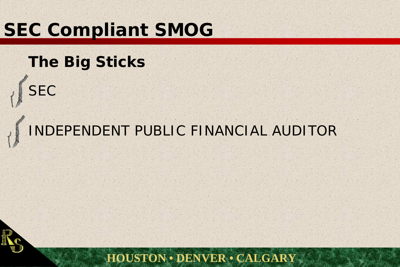# **SEC Compliant SMOG**

## **The Big Sticks**

![](_page_18_Picture_2.jpeg)

# INDEPENDENT PUBLIC FINANCIAL AUDITOR

![](_page_18_Picture_4.jpeg)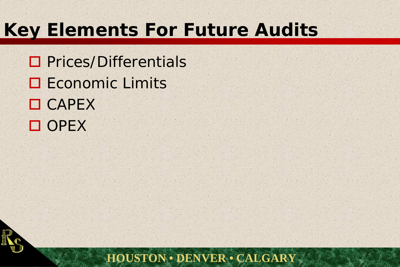# **Key Elements For Future Audits**

□ Prices/Differentials **O** Economic Limits **O** CAPEX OPE>

![](_page_19_Picture_2.jpeg)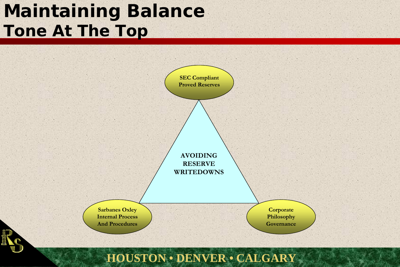# **Maintaining Balance Tone At The Top**

![](_page_20_Figure_1.jpeg)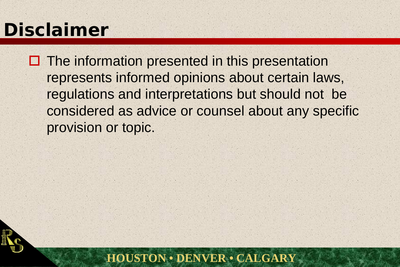# **Disclaimer**

 $\square$  The information presented in this presentation represents informed opinions about certain laws, regulations and interpretations but should not be considered as advice or counsel about any specific provision or topic.

![](_page_21_Picture_2.jpeg)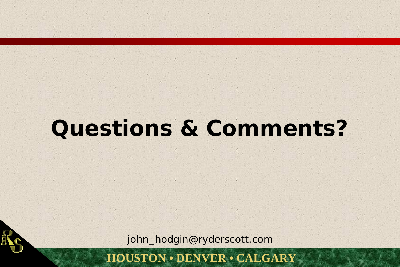# **Questions & Comments?**

john\_hodgin@ryderscott.com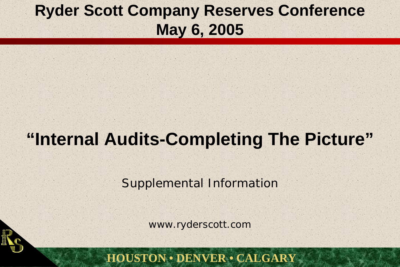## **Ryder Scott Company Reserves Conference May 6, 2005**

# **"Internal Audits-Completing The Picture"**

Supplemental Information

www.ryderscott.com

![](_page_23_Picture_4.jpeg)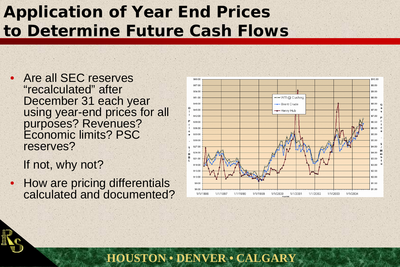## **Application of Year End Prices to Determine Future Cash Flows**

**HOUSTON • DENVER • CALGARY**

• Are all SEC reserves "recalculated" after December 31 each year using year-end prices for all purposes? Revenues? Economic limits? PSC reserves?

If not, why not?

• How are pricing differentials calculated and documented?

![](_page_24_Figure_4.jpeg)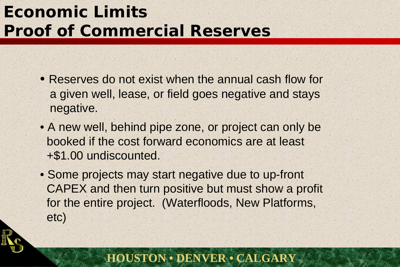## **Economic LimitsProof of Commercial Reserves**

- Reserves do not exist when the annual cash flow for a given well, lease, or field goes negative and stays negative.
- A new well, behind pipe zone, or project can only be booked if the cost forward economics are at least +\$1.00 undiscounted.
- Some projects may start negative due to up-front CAPEX and then turn positive but must show a profit for the entire project. (Waterfloods, New Platforms, etc)

![](_page_25_Picture_4.jpeg)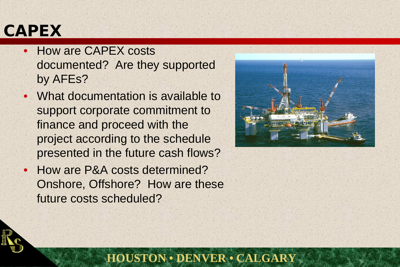## **CAPEX**

- How are CAPEX costs documented? Are they supported by AFEs?
- What documentation is available to support corporate commitment to finance and proceed with the project according to the schedule presented in the future cash flows?
- • How are P&A costs determined? Onshore, Offshore? How are these future costs scheduled?

![](_page_26_Picture_4.jpeg)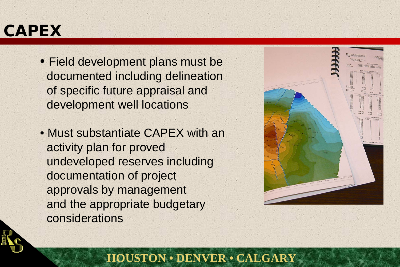## **CAPEX**

- Field development plans must be documented including delineation of specific future appraisal and development well locations
- Must substantiate CAPEX with an activity plan for proved undeveloped reserves including documentation of project approvals by management and the appropriate budgetary considerations

![](_page_27_Figure_3.jpeg)

![](_page_27_Picture_4.jpeg)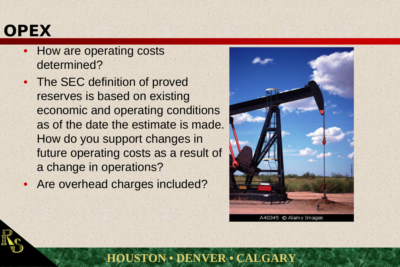## **OPEX**

- • How are operating costs determined?
- • The SEC definition of proved reserves is based on existing economic and operating conditions as of the date the estimate is made. How do you support changes in future operating costs as a result of a change in operations?
- Are overhead charges included?

![](_page_28_Picture_4.jpeg)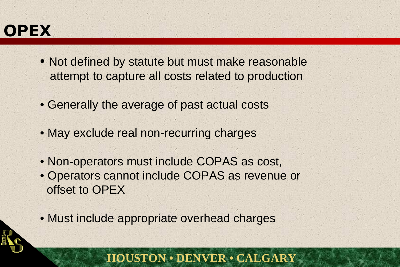## **OPEX**

- Not defined by statute but must make reasonable attempt to capture all costs related to production
- Generally the average of past actual costs
- May exclude real non-recurring charges
- Non-operators must include COPAS as cost,
- Operators cannot include COPAS as revenue or offset to OPEX
- Must include appropriate overhead charges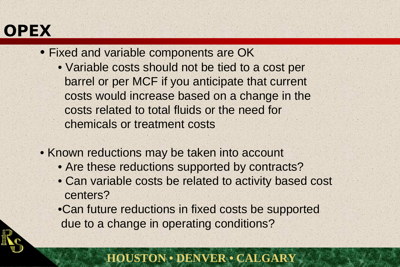## **OPEX**

- Fixed and variable components are OK
	- Variable costs should not be tied to a cost per barrel or per MCF if you anticipate that current costs would increase based on a change in the costs related to total fluids or the need for chemicals or treatment costs
- Known reductions may be taken into account
	- Are these reductions supported by contracts?
	- Can variable costs be related to activity based cost centers?
	- •Can future reductions in fixed costs be supported due to a change in operating conditions?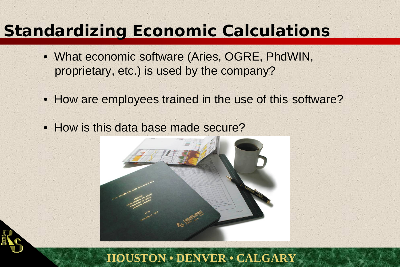## **Standardizing Economic Calculations**

- What economic software (Aries, OGRE, PhdWIN, proprietary, etc.) is used by the company?
- How are employees trained in the use of this software?
- How is this data base made secure?

![](_page_31_Picture_4.jpeg)